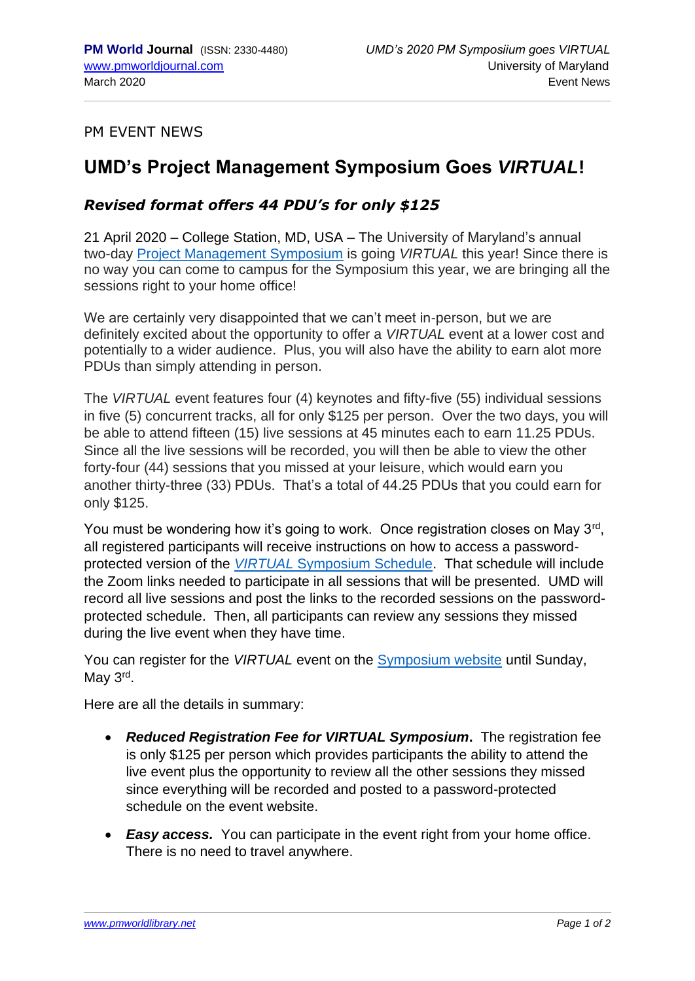PM EVENT NEWS

## **UMD's Project Management Symposium Goes** *VIRTUAL***!**

## *Revised format offers 44 PDU's for only \$125*

21 April 2020 – College Station, MD, USA – The University of Maryland's annual two-day [Project Management Symposium](https://pmsymposium.umd.edu/pm2020) is going *VIRTUAL* this year! Since there is no way you can come to campus for the Symposium this year, we are bringing all the sessions right to your home office!

We are certainly very disappointed that we can't meet in-person, but we are definitely excited about the opportunity to offer a *VIRTUAL* event at a lower cost and potentially to a wider audience. Plus, you will also have the ability to earn alot more PDUs than simply attending in person.

The *VIRTUAL* event features four (4) keynotes and fifty-five (55) individual sessions in five (5) concurrent tracks, all for only \$125 per person. Over the two days, you will be able to attend fifteen (15) live sessions at 45 minutes each to earn 11.25 PDUs. Since all the live sessions will be recorded, you will then be able to view the other forty-four (44) sessions that you missed at your leisure, which would earn you another thirty-three (33) PDUs. That's a total of 44.25 PDUs that you could earn for only \$125.

You must be wondering how it's going to work. Once registration closes on May 3rd, all registered participants will receive instructions on how to access a passwordprotected version of the *VIRTUAL* [Symposium Schedule.](https://pmsymposium.umd.edu/pm2020/virtual-schedule/) That schedule will include the Zoom links needed to participate in all sessions that will be presented. UMD will record all live sessions and post the links to the recorded sessions on the passwordprotected schedule. Then, all participants can review any sessions they missed during the live event when they have time.

You can register for the *VIRTUAL* event on the [Symposium website](https://pmsymposium.umd.edu/pm2020/) until Sunday, May 3<sup>rd</sup>.

Here are all the details in summary:

- *Reduced Registration Fee for VIRTUAL Symposium***.** The registration fee is only \$125 per person which provides participants the ability to attend the live event plus the opportunity to review all the other sessions they missed since everything will be recorded and posted to a password-protected schedule on the event website.
- *Easy access.* You can participate in the event right from your home office. There is no need to travel anywhere.